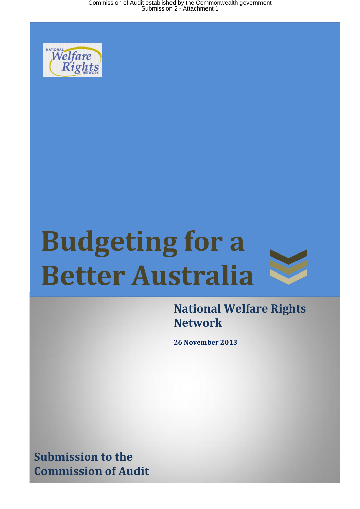Commission of Audit established by the Commonwealth government Submission 2 - Attachment 1



# **Budgeting for a Better Australia**



**National Welfare Rights Network**

**26 November 2013**

**Submission to the Commission of Audit**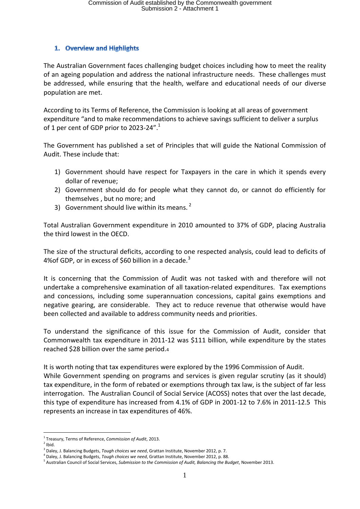# 1. Overview and Highlights

The Australian Government faces challenging budget choices including how to meet the reality of an ageing population and address the national infrastructure needs. These challenges must be addressed, while ensuring that the health, welfare and educational needs of our diverse population are met.

According to its Terms of Reference, the Commission is looking at all areas of government expenditure "and to make recommendations to achieve savings sufficient to deliver a surplus of 1 per cent of GDP prior to 2023-24". $^1$ 

The Government has published a set of Principles that will guide the National Commission of Audit. These include that:

- 1) Government should have respect for Taxpayers in the care in which it spends every dollar of revenue;
- 2) Government should do for people what they cannot do, or cannot do efficiently for themselves , but no more; and
- 3) Government should live within its means.

Total Australian Government expenditure in 2010 amounted to 37% of GDP, placing Australia the third lowest in the OECD.

The size of the structural deficits, according to one respected analysis, could lead to deficits of 4%of GDP, or in excess of \$60 billion in a decade.<sup>3</sup>

It is concerning that the Commission of Audit was not tasked with and therefore will not undertake a comprehensive examination of all taxation-related expenditures. Tax exemptions and concessions, including some superannuation concessions, capital gains exemptions and negative gearing, are considerable. They act to reduce revenue that otherwise would have been collected and available to address community needs and priorities.

To understand the significance of this issue for the Commission of Audit, consider that Commonwealth tax expenditure in 2011-12 was \$111 billion, while expenditure by the states reached \$28 billion over the same period.<sup>4</sup>

It is worth noting that tax expenditures were explored by the 1996 Commission of Audit.

While Government spending on programs and services is given regular scrutiny (as it should) tax expenditure, in the form of rebated or exemptions through tax law, is the subject of far less interrogation. The Australian Council of Social Service (ACOSS) notes that over the last decade, this type of expenditure has increased from 4.1% of GDP in 2001-12 to 7.6% in 2011-12.5 This represents an increase in tax expenditures of 46%.

 $\overline{a}$ 1 Treasury, Terms of Reference, *Commission of Audit*, 2013.

 $2$  Ibid.

<sup>3</sup> Daley, J. Balancing Budgets, *Tough choices we need*, Grattan Institute, November 2012, p. 7.

<sup>4</sup> Daley, J. Balancing Budgets, *Tough choices we need*, Grattan Institute, November 2012, p. 88.

<sup>5</sup> Australian Council of Social Services, *Submission to the Commission of Audit, Balancing the Budget*, November 2013.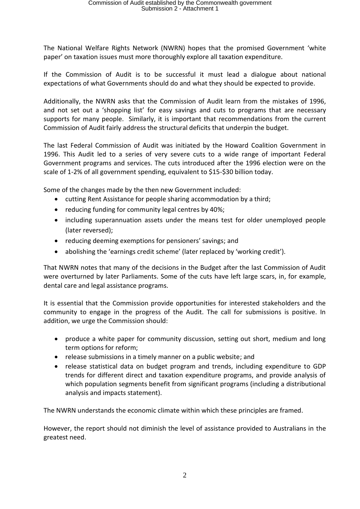The National Welfare Rights Network (NWRN) hopes that the promised Government 'white paper' on taxation issues must more thoroughly explore all taxation expenditure.

If the Commission of Audit is to be successful it must lead a dialogue about national expectations of what Governments should do and what they should be expected to provide.

Additionally, the NWRN asks that the Commission of Audit learn from the mistakes of 1996, and not set out a 'shopping list' for easy savings and cuts to programs that are necessary supports for many people. Similarly, it is important that recommendations from the current Commission of Audit fairly address the structural deficits that underpin the budget.

The last Federal Commission of Audit was initiated by the Howard Coalition Government in 1996. This Audit led to a series of very severe cuts to a wide range of important Federal Government programs and services. The cuts introduced after the 1996 election were on the scale of 1-2% of all government spending, equivalent to \$15-\$30 billion today.

Some of the changes made by the then new Government included:

- cutting Rent Assistance for people sharing accommodation by a third;
- reducing funding for community legal centres by 40%;
- including superannuation assets under the means test for older unemployed people (later reversed);
- reducing deeming exemptions for pensioners' savings; and
- abolishing the 'earnings credit scheme' (later replaced by 'working credit').

That NWRN notes that many of the decisions in the Budget after the last Commission of Audit were overturned by later Parliaments. Some of the cuts have left large scars, in, for example, dental care and legal assistance programs.

It is essential that the Commission provide opportunities for interested stakeholders and the community to engage in the progress of the Audit. The call for submissions is positive. In addition, we urge the Commission should:

- produce a white paper for community discussion, setting out short, medium and long term options for reform;
- release submissions in a timely manner on a public website; and
- release statistical data on budget program and trends, including expenditure to GDP trends for different direct and taxation expenditure programs, and provide analysis of which population segments benefit from significant programs (including a distributional analysis and impacts statement).

The NWRN understands the economic climate within which these principles are framed.

However, the report should not diminish the level of assistance provided to Australians in the greatest need.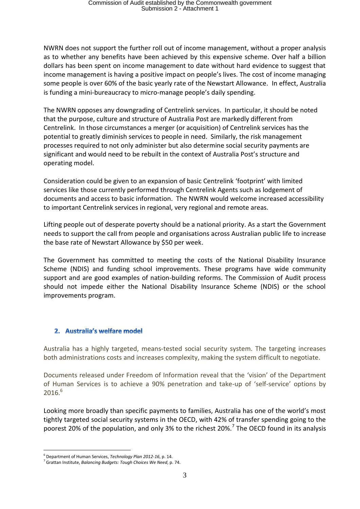NWRN does not support the further roll out of income management, without a proper analysis as to whether any benefits have been achieved by this expensive scheme. Over half a billion dollars has been spent on income management to date without hard evidence to suggest that income management is having a positive impact on people's lives. The cost of income managing some people is over 60% of the basic yearly rate of the Newstart Allowance. In effect, Australia is funding a mini-bureaucracy to micro-manage people's daily spending.

The NWRN opposes any downgrading of Centrelink services. In particular, it should be noted that the purpose, culture and structure of Australia Post are markedly different from Centrelink. In those circumstances a merger (or acquisition) of Centrelink services has the potential to greatly diminish services to people in need. Similarly, the risk management processes required to not only administer but also determine social security payments are significant and would need to be rebuilt in the context of Australia Post's structure and operating model.

Consideration could be given to an expansion of basic Centrelink 'footprint' with limited services like those currently performed through Centrelink Agents such as lodgement of documents and access to basic information. The NWRN would welcome increased accessibility to important Centrelink services in regional, very regional and remote areas.

Lifting people out of desperate poverty should be a national priority. As a start the Government needs to support the call from people and organisations across Australian public life to increase the base rate of Newstart Allowance by \$50 per week.

The Government has committed to meeting the costs of the National Disability Insurance Scheme (NDIS) and funding school improvements. These programs have wide community support and are good examples of nation-building reforms. The Commission of Audit process should not impede either the National Disability Insurance Scheme (NDIS) or the school improvements program.

#### 2. Australia's welfare model

Australia has a highly targeted, means-tested social security system. The targeting increases both administrations costs and increases complexity, making the system difficult to negotiate.

Documents released under Freedom of Information reveal that the 'vision' of the Department of Human Services is to achieve a 90% penetration and take-up of 'self-service' options by  $2016.<sup>6</sup>$ 

Looking more broadly than specific payments to families, Australia has one of the world's most tightly targeted social security systems in the OECD, with 42% of transfer spending going to the poorest 20% of the population, and only 3% to the richest 20%.<sup>7</sup> The OECD found in its analysis

<sup>6</sup> Department of Human Services, *Technology Plan 2012-16*, p. 14.

<sup>7</sup> Grattan Institute, *Balancing Budgets: Tough Choices We Need*, p. 74.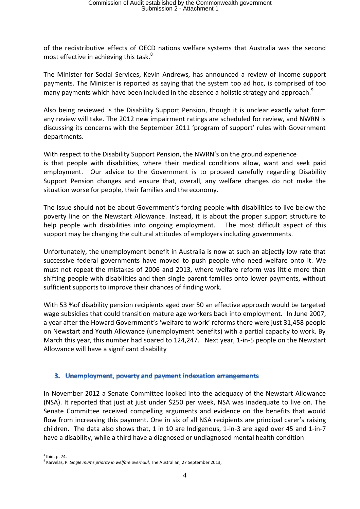of the redistributive effects of OECD nations welfare systems that Australia was the second most effective in achieving this task.<sup>8</sup>

The Minister for Social Services, Kevin Andrews, has announced a review of income support payments. The Minister is reported as saying that the system too ad hoc, is comprised of too many payments which have been included in the absence a holistic strategy and approach.<sup>9</sup>

Also being reviewed is the Disability Support Pension, though it is unclear exactly what form any review will take. The 2012 new impairment ratings are scheduled for review, and NWRN is discussing its concerns with the September 2011 'program of support' rules with Government departments.

With respect to the Disability Support Pension, the NWRN's on the ground experience is that people with disabilities, where their medical conditions allow, want and seek paid employment. Our advice to the Government is to proceed carefully regarding Disability Support Pension changes and ensure that, overall, any welfare changes do not make the situation worse for people, their families and the economy.

The issue should not be about Government's forcing people with disabilities to live below the poverty line on the Newstart Allowance. Instead, it is about the proper support structure to help people with disabilities into ongoing employment. The most difficult aspect of this support may be changing the cultural attitudes of employers including governments.

Unfortunately, the unemployment benefit in Australia is now at such an abjectly low rate that successive federal governments have moved to push people who need welfare onto it. We must not repeat the mistakes of 2006 and 2013, where welfare reform was little more than shifting people with disabilities and then single parent families onto lower payments, without sufficient supports to improve their chances of finding work.

With 53 %of disability pension recipients aged over 50 an effective approach would be targeted wage subsidies that could transition mature age workers back into employment. In June 2007, a year after the Howard Government's 'welfare to work' reforms there were just 31,458 people on Newstart and Youth Allowance (unemployment benefits) with a partial capacity to work. By March this year, this number had soared to 124,247. Next year, 1-in-5 people on the Newstart Allowance will have a significant disability

#### 3. Unemployment, poverty and payment indexation arrangements

In November 2012 a Senate Committee looked into the adequacy of the Newstart Allowance (NSA). It reported that just at just under \$250 per week, NSA was inadequate to live on. The Senate Committee received compelling arguments and evidence on the benefits that would flow from increasing this payment. One in six of all NSA recipients are principal carer's raising children. The data also shows that, 1 in 10 are Indigenous, 1-in-3 are aged over 45 and 1-in-7 have a disability, while a third have a diagnosed or undiagnosed mental health condition

 $\overline{a}$  $<sup>8</sup>$  Ibid, p. 74.</sup>

<sup>9</sup> Karvelas, P. *Single mums priority in welfare overhaul*, The Australian, 27 September 2013,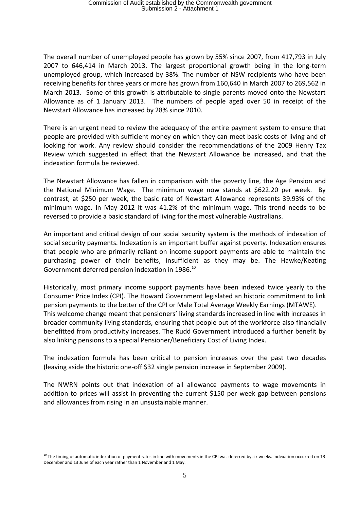The overall number of unemployed people has grown by 55% since 2007, from 417,793 in July 2007 to 646,414 in March 2013. The largest proportional growth being in the long-term unemployed group, which increased by 38%. The number of NSW recipients who have been receiving benefits for three years or more has grown from 160,640 in March 2007 to 269,562 in March 2013. Some of this growth is attributable to single parents moved onto the Newstart Allowance as of 1 January 2013. The numbers of people aged over 50 in receipt of the Newstart Allowance has increased by 28% since 2010.

There is an urgent need to review the adequacy of the entire payment system to ensure that people are provided with sufficient money on which they can meet basic costs of living and of looking for work. Any review should consider the recommendations of the 2009 Henry Tax Review which suggested in effect that the Newstart Allowance be increased, and that the indexation formula be reviewed.

The Newstart Allowance has fallen in comparison with the poverty line, the Age Pension and the National Minimum Wage. The minimum wage now stands at \$622.20 per week. By contrast, at \$250 per week, the basic rate of Newstart Allowance represents 39.93% of the minimum wage. In May 2012 it was 41.2% of the minimum wage. This trend needs to be reversed to provide a basic standard of living for the most vulnerable Australians.

An important and critical design of our social security system is the methods of indexation of social security payments. Indexation is an important buffer against poverty. Indexation ensures that people who are primarily reliant on income support payments are able to maintain the purchasing power of their benefits, insufficient as they may be. The Hawke/Keating Government deferred pension indexation in 1986.<sup>10</sup>

Historically, most primary income support payments have been indexed twice yearly to the Consumer Price Index (CPI). The Howard Government legislated an historic commitment to link pension payments to the better of the CPI or Male Total Average Weekly Earnings (MTAWE). This welcome change meant that pensioners' living standards increased in line with increases in broader community living standards, ensuring that people out of the workforce also financially benefitted from productivity increases. The Rudd Government introduced a further benefit by also linking pensions to a special Pensioner/Beneficiary Cost of Living Index.

The indexation formula has been critical to pension increases over the past two decades (leaving aside the historic one-off \$32 single pension increase in September 2009).

The NWRN points out that indexation of all allowance payments to wage movements in addition to prices will assist in preventing the current \$150 per week gap between pensions and allowances from rising in an unsustainable manner.

 $10$  The timing of automatic indexation of payment rates in line with movements in the CPI was deferred by six weeks. Indexation occurred on 13 December and 13 June of each year rather than 1 November and 1 May.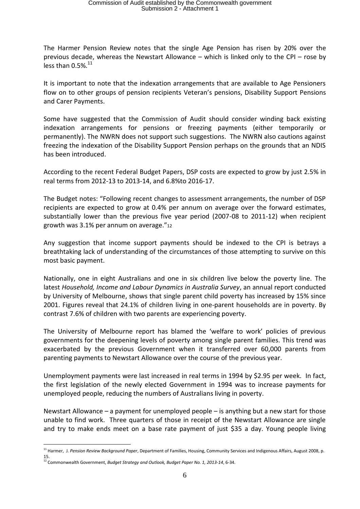The Harmer Pension Review notes that the single Age Pension has risen by 20% over the previous decade, whereas the Newstart Allowance – which is linked only to the CPI – rose by less than  $0.5\%$ .<sup>11</sup>

It is important to note that the indexation arrangements that are available to Age Pensioners flow on to other groups of pension recipients Veteran's pensions, Disability Support Pensions and Carer Payments.

Some have suggested that the Commission of Audit should consider winding back existing indexation arrangements for pensions or freezing payments (either temporarily or permanently). The NWRN does not support such suggestions. The NWRN also cautions against freezing the indexation of the Disability Support Pension perhaps on the grounds that an NDIS has been introduced.

According to the recent Federal Budget Papers, DSP costs are expected to grow by just 2.5% in real terms from 2012-13 to 2013-14, and 6.8%to 2016-17.

The Budget notes: "Following recent changes to assessment arrangements, the number of DSP recipients are expected to grow at 0.4% per annum on average over the forward estimates, substantially lower than the previous five year period (2007-08 to 2011-12) when recipient growth was 3.1% per annum on average."<sup>12</sup>

Any suggestion that income support payments should be indexed to the CPI is betrays a breathtaking lack of understanding of the circumstances of those attempting to survive on this most basic payment.

Nationally, one in eight Australians and one in six children live below the poverty line. The latest *[Household, Income and Labour Dynamics in Australia Survey](http://www.google.com/url?q=http%3A%2F%2Fwww.melbourneinstitute.com%2Fdownloads%2Fhilda%2FAnnual_Report%2Fareport2012.pdf&sa=D&sntz=1&usg=AFQjCNF0JnAFv2IA8lmVtvauwLo1BYoWWw)*, an annual report conducted by University of [Melbourne,](http://www.guardian.co.uk/world/melbourne) shows that single parent child poverty has increased by 15% since 2001. Figures reveal that 24.1% of children living in one-parent households are in poverty. By contrast 7.6% of children with two parents are experiencing poverty.

The University of Melbourne report has blamed the 'welfare to work' policies of previous governments for the deepening levels of poverty among single parent families. This trend was exacerbated by the previous Government when it transferred over 60,000 parents from parenting payments to Newstart Allowance over the course of the previous year.

Unemployment payments were last increased in real terms in 1994 by \$2.95 per week. In fact, the first legislation of the newly elected Government in 1994 was to increase payments for unemployed people, reducing the numbers of Australians living in poverty.

Newstart Allowance – a payment for unemployed people – is anything but a new start for those unable to find work. Three quarters of those in receipt of the Newstart Allowance are single and try to make ends meet on a base rate payment of just \$35 a day. Young people living

<sup>11</sup> Harmer, J. *Pension Review Background Paper*, Department of Families, Housing, Community Services and Indigenous Affairs, August 2008, p. 15.

<sup>12</sup> Commonwealth Government, *Budget Strategy and Outlook, Budget Paper No. 1, 2013-14*, 6-34.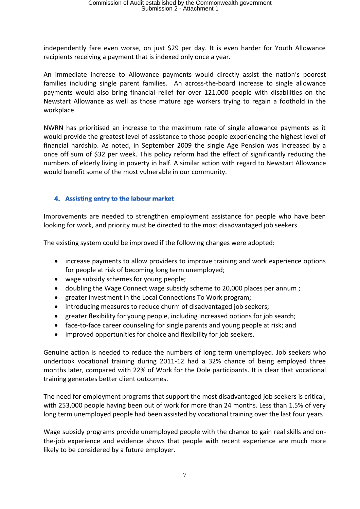independently fare even worse, on just \$29 per day. It is even harder for Youth Allowance recipients receiving a payment that is indexed only once a year.

An immediate increase to Allowance payments would directly assist the nation's poorest families including single parent families. An across-the-board increase to single allowance payments would also bring financial relief for over 121,000 people with disabilities on the Newstart Allowance as well as those mature age workers trying to regain a foothold in the workplace.

NWRN has prioritised an increase to the maximum rate of single allowance payments as it would provide the greatest level of assistance to those people experiencing the highest level of financial hardship. As noted, in September 2009 the single Age Pension was increased by a once off sum of \$32 per week. This policy reform had the effect of significantly reducing the numbers of elderly living in poverty in half. A similar action with regard to Newstart Allowance would benefit some of the most vulnerable in our community.

# 4. Assisting entry to the labour market

Improvements are needed to strengthen employment assistance for people who have been looking for work, and priority must be directed to the most disadvantaged job seekers.

The existing system could be improved if the following changes were adopted:

- increase payments to allow providers to improve training and work experience options for people at risk of becoming long term unemployed;
- wage subsidy schemes for young people;
- doubling the Wage Connect wage subsidy scheme to 20,000 places per annum ;
- greater investment in the Local Connections To Work program;
- introducing measures to reduce churn' of disadvantaged job seekers;
- greater flexibility for young people, including increased options for job search;
- face-to-face career counseling for single parents and young people at risk; and
- improved opportunities for choice and flexibility for job seekers.

Genuine action is needed to reduce the numbers of long term unemployed. Job seekers who undertook vocational training during 2011-12 had a 32% chance of being employed three months later, compared with 22% of Work for the Dole participants. It is clear that vocational training generates better client outcomes.

The need for employment programs that support the most disadvantaged job seekers is critical, with 253,000 people having been out of work for more than 24 months. Less than 1.5% of very long term unemployed people had been assisted by vocational training over the last four years

Wage subsidy programs provide unemployed people with the chance to gain real skills and onthe-job experience and evidence shows that people with recent experience are much more likely to be considered by a future employer.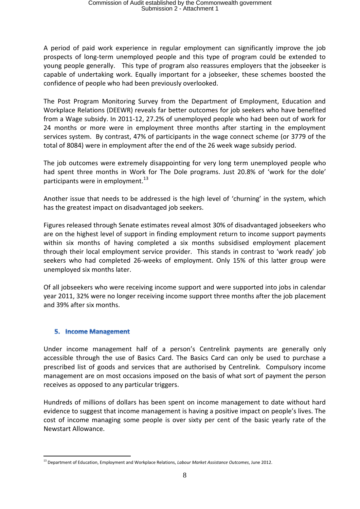A period of paid work experience in regular employment can significantly improve the job prospects of long-term unemployed people and this type of program could be extended to young people generally. This type of program also reassures employers that the jobseeker is capable of undertaking work. Equally important for a jobseeker, these schemes boosted the confidence of people who had been previously overlooked.

The Post Program Monitoring Survey from the Department of Employment, Education and Workplace Relations (DEEWR) reveals far better outcomes for job seekers who have benefited from a Wage subsidy. In 2011-12, 27.2% of unemployed people who had been out of work for 24 months or more were in employment three months after starting in the employment services system. By contrast, 47% of participants in the wage connect scheme (or 3779 of the total of 8084) were in employment after the end of the 26 week wage subsidy period.

The job outcomes were extremely disappointing for very long term unemployed people who had spent three months in Work for The Dole programs. Just 20.8% of 'work for the dole' participants were in employment.<sup>13</sup>

Another issue that needs to be addressed is the high level of 'churning' in the system, which has the greatest impact on disadvantaged job seekers.

Figures released through Senate estimates reveal almost 30% of disadvantaged jobseekers who are on the highest level of support in finding employment return to income support payments within six months of having completed a six months subsidised employment placement through their local employment service provider. This stands in contrast to 'work ready' job seekers who had completed 26-weeks of employment. Only 15% of this latter group were unemployed six months later.

Of all jobseekers who were receiving income support and were supported into jobs in calendar year 2011, 32% were no longer receiving income support three months after the job placement and 39% after six months.

#### **5. Income Management**

 $\overline{a}$ 

Under income management half of a person's Centrelink payments are generally only accessible through the use of Basics Card. The Basics Card can only be used to purchase a prescribed list of goods and services that are authorised by Centrelink. Compulsory income management are on most occasions imposed on the basis of what sort of payment the person receives as opposed to any particular triggers.

Hundreds of millions of dollars has been spent on income management to date without hard evidence to suggest that income management is having a positive impact on people's lives. The cost of income managing some people is over sixty per cent of the basic yearly rate of the Newstart Allowance.

<sup>13</sup> Department of Education, Employment and Workplace Relations, *Labour Market Assistance Outcomes*, June 2012.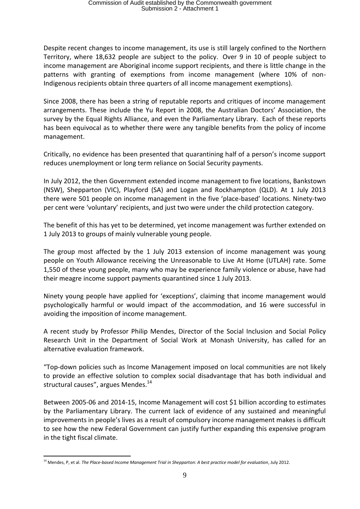Despite recent changes to income management, its use is still largely confined to the Northern Territory, where 18,632 people are subject to the policy. Over 9 in 10 of people subject to income management are Aboriginal income support recipients, and there is little change in the patterns with granting of exemptions from income management (where 10% of non-Indigenous recipients obtain three quarters of all income management exemptions).

Since 2008, there has been a string of reputable reports and critiques of income management arrangements. These include the Yu Report in 2008, the Australian Doctors' Association, the survey by the Equal Rights Alliance, and even the Parliamentary Library. Each of these reports has been equivocal as to whether there were any tangible benefits from the policy of income management.

Critically, no evidence has been presented that quarantining half of a person's income support reduces unemployment or long term reliance on Social Security payments.

In July 2012, the then Government extended income management to five locations, Bankstown (NSW), Shepparton (VIC), Playford (SA) and Logan and Rockhampton (QLD). At 1 July 2013 there were 501 people on income management in the five 'place-based' locations. Ninety-two per cent were 'voluntary' recipients, and just two were under the child protection category.

The benefit of this has yet to be determined, yet income management was further extended on 1 July 2013 to groups of mainly vulnerable young people.

The group most affected by the 1 July 2013 extension of income management was young people on Youth Allowance receiving the Unreasonable to Live At Home (UTLAH) rate. Some 1,550 of these young people, many who may be experience family violence or abuse, have had their meagre income support payments quarantined since 1 July 2013.

Ninety young people have applied for 'exceptions', claiming that income management would psychologically harmful or would impact of the accommodation, and 16 were successful in avoiding the imposition of income management.

A recent study by Professor Philip Mendes, Director of the Social Inclusion and Social Policy Research Unit in the Department of Social Work at Monash University, has called for an alternative evaluation framework.

"Top-down policies such as Income Management imposed on local communities are not likely to provide an effective solution to complex social disadvantage that has both individual and structural causes", argues Mendes.<sup>14</sup>

Between 2005-06 and 2014-15, Income Management will cost \$1 billion according to estimates by the Parliamentary Library. The current lack of evidence of any sustained and meaningful improvements in people's lives as a result of compulsory income management makes is difficult to see how the new Federal Government can justify further expanding this expensive program in the tight fiscal climate.

<sup>&</sup>lt;sup>14</sup> Mendes, P, et al. *The Place-based Income Management Trial in Shepparton: A best practice model for evaluation*, July 2012.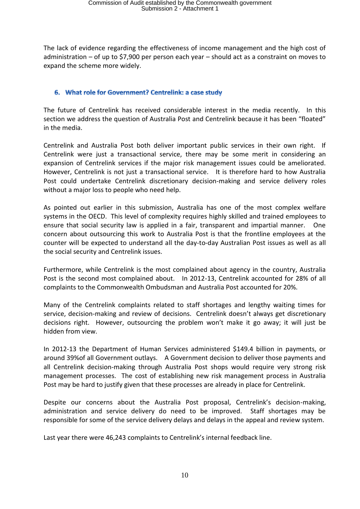The lack of evidence regarding the effectiveness of income management and the high cost of administration – of up to \$7,900 per person each year – should act as a constraint on moves to expand the scheme more widely.

#### 6. What role for Government? Centrelink: a case study

The future of Centrelink has received considerable interest in the media recently. In this section we address the question of Australia Post and Centrelink because it has been "floated" in the media.

Centrelink and Australia Post both deliver important public services in their own right. If Centrelink were just a transactional service, there may be some merit in considering an expansion of Centrelink services if the major risk management issues could be ameliorated. However, Centrelink is not just a transactional service. It is therefore hard to how Australia Post could undertake Centrelink discretionary decision-making and service delivery roles without a major loss to people who need help.

As pointed out earlier in this submission, Australia has one of the most complex welfare systems in the OECD. This level of complexity requires highly skilled and trained employees to ensure that social security law is applied in a fair, transparent and impartial manner. One concern about outsourcing this work to Australia Post is that the frontline employees at the counter will be expected to understand all the day-to-day Australian Post issues as well as all the social security and Centrelink issues.

Furthermore, while Centrelink is the most complained about agency in the country, Australia Post is the second most complained about. In 2012-13, Centrelink accounted for 28% of all complaints to the Commonwealth Ombudsman and Australia Post accounted for 20%.

Many of the Centrelink complaints related to staff shortages and lengthy waiting times for service, decision-making and review of decisions. Centrelink doesn't always get discretionary decisions right. However, outsourcing the problem won't make it go away; it will just be hidden from view.

In 2012-13 the Department of Human Services administered \$149.4 billion in payments, or around 39%of all Government outlays. A Government decision to deliver those payments and all Centrelink decision-making through Australia Post shops would require very strong risk management processes. The cost of establishing new risk management process in Australia Post may be hard to justify given that these processes are already in place for Centrelink.

Despite our concerns about the Australia Post proposal, Centrelink's decision-making, administration and service delivery do need to be improved. Staff shortages may be responsible for some of the service delivery delays and delays in the appeal and review system.

Last year there were 46,243 complaints to Centrelink's internal feedback line.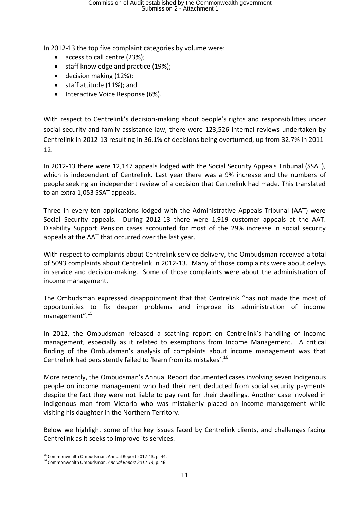In 2012-13 the top five complaint categories by volume were:

- access to call centre (23%);
- staff knowledge and practice (19%);
- decision making (12%);
- staff attitude (11%); and
- Interactive Voice Response (6%).

With respect to Centrelink's decision-making about people's rights and responsibilities under social security and family assistance law, there were 123,526 internal reviews undertaken by Centrelink in 2012-13 resulting in 36.1% of decisions being overturned, up from 32.7% in 2011- 12.

In 2012-13 there were 12,147 appeals lodged with the Social Security Appeals Tribunal (SSAT), which is independent of Centrelink. Last year there was a 9% increase and the numbers of people seeking an independent review of a decision that Centrelink had made. This translated to an extra 1,053 SSAT appeals.

Three in every ten applications lodged with the Administrative Appeals Tribunal (AAT) were Social Security appeals. During 2012-13 there were 1,919 customer appeals at the AAT. Disability Support Pension cases accounted for most of the 29% increase in social security appeals at the AAT that occurred over the last year.

With respect to complaints about Centrelink service delivery, the Ombudsman received a total of 5093 complaints about Centrelink in 2012-13. Many of those complaints were about delays in service and decision-making. Some of those complaints were about the administration of income management.

The Ombudsman expressed disappointment that that Centrelink "has not made the most of opportunities to fix deeper problems and improve its administration of income management".<sup>15</sup>

In 2012, the Ombudsman released a scathing report on Centrelink's handling of income management, especially as it related to exemptions from Income Management. A critical finding of the Ombudsman's analysis of complaints about income management was that Centrelink had persistently failed to 'learn from its mistakes'.<sup>16</sup>

More recently, the Ombudsman's Annual Report documented cases involving seven Indigenous people on income management who had their rent deducted from social security payments despite the fact they were not liable to pay rent for their dwellings. Another case involved in Indigenous man from Victoria who was mistakenly placed on income management while visiting his daughter in the Northern Territory.

Below we highlight some of the key issues faced by Centrelink clients, and challenges facing Centrelink as it seeks to improve its services.

<sup>15</sup> Commonwealth Ombudsman, Annual Report 2012-13, p. 44.

<sup>16</sup> Commonwealth Ombudsman, *Annual Report 2012-13*, p. 46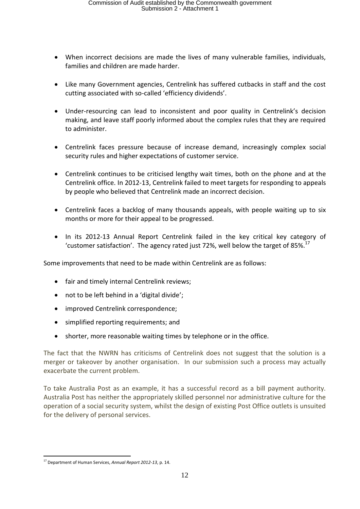- When incorrect decisions are made the lives of many vulnerable families, individuals, families and children are made harder.
- Like many Government agencies, Centrelink has suffered cutbacks in staff and the cost cutting associated with so-called 'efficiency dividends'.
- Under-resourcing can lead to inconsistent and poor quality in Centrelink's decision making, and leave staff poorly informed about the complex rules that they are required to administer.
- Centrelink faces pressure because of increase demand, increasingly complex social security rules and higher expectations of customer service.
- Centrelink continues to be criticised lengthy wait times, both on the phone and at the Centrelink office. In 2012-13, Centrelink failed to meet targets for responding to appeals by people who believed that Centrelink made an incorrect decision.
- Centrelink faces a backlog of many thousands appeals, with people waiting up to six months or more for their appeal to be progressed.
- In its 2012-13 Annual Report Centrelink failed in the key critical key category of 'customer satisfaction'. The agency rated just 72%, well below the target of 85%.<sup>17</sup>

Some improvements that need to be made within Centrelink are as follows:

- fair and timely internal Centrelink reviews;
- not to be left behind in a 'digital divide';
- improved Centrelink correspondence;
- simplified reporting requirements; and
- shorter, more reasonable waiting times by telephone or in the office.

The fact that the NWRN has criticisms of Centrelink does not suggest that the solution is a merger or takeover by another organisation. In our submission such a process may actually exacerbate the current problem.

To take Australia Post as an example, it has a successful record as a bill payment authority. Australia Post has neither the appropriately skilled personnel nor administrative culture for the operation of a social security system, whilst the design of existing Post Office outlets is unsuited for the delivery of personal services.

<sup>17</sup> Department of Human Services, *Annual Report 2012-13*, p. 14.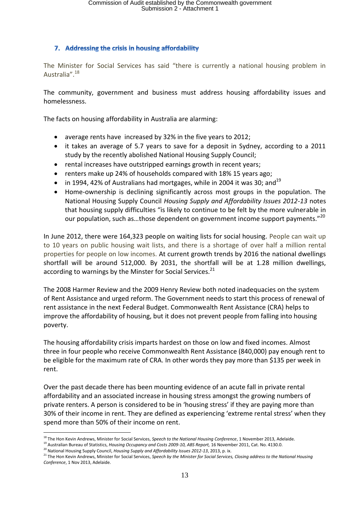# 7. Addressing the crisis in housing affordability

The Minister for Social Services has said "there is currently a national housing problem in Australia".<sup>18</sup>

The community, government and business must address housing affordability issues and homelessness.

The facts on housing affordability in Australia are alarming:

- average rents have [increased by 32% in the five years to 2012;](http://australiansforaffordablehousing.cmail2.com/t/r-l-kkdtjrt-allkriye-s/)
- it takes an average of 5.7 years to save for a deposit in Sydney, according to a 2011 study by the recently abolished National Housing Supply Council;
- rental increases have outstripped earnings growth in recent years;
- renters make up 24% of households compared with 18% 15 years ago;
- $\bullet$  in 1994, 42% of Australians had mortgages, while in 2004 it was 30; and<sup>19</sup>
- Home-ownership is declining significantly across most groups in the population. The National Housing Supply Council *Housing Supply and Affordability Issues 2012-13* notes that housing supply difficulties "is likely to continue to be felt by the more vulnerable in our population, such as...those dependent on government income support payments."<sup>20</sup>

In June 2012, there were 164,323 people on waiting lists for social housing. People can wait up to 10 years on public housing wait lists, and there is a shortage of over half a million rental properties for people on low incomes. At current growth trends by 2016 the national dwellings shortfall will be around 512,000. By 2031, the shortfall will be at 1.28 million dwellings, according to warnings by the Minster for Social Services.<sup>21</sup>

The 2008 Harmer Review and the 2009 Henry Review both noted inadequacies on the system of Rent Assistance and urged reform. The Government needs to start this process of renewal of rent assistance in the next Federal Budget. Commonwealth Rent Assistance (CRA) helps to improve the affordability of housing, but it does not prevent people from falling into housing poverty.

The housing affordability crisis imparts hardest on those on low and fixed incomes. Almost three in four people who receive Commonwealth Rent Assistance (840,000) pay enough rent to be eligible for the maximum rate of CRA. In other words they pay more than \$135 per week in rent.

Over the past decade there has been mounting evidence of an acute fall in private rental affordability and an associated increase in housing stress amongst the growing numbers of private renters. A person is considered to be in 'housing stress' if they are paying more than 30% of their income in rent. They are defined as experiencing 'extreme rental stress' when they spend more than 50% of their income on rent.

 $\overline{a}$ <sup>18</sup> The Hon Kevin Andrews, Minister for Social Services, Speech to the National Housing Conference, 1 November 2013, Adelaide.

<sup>&</sup>lt;sup>19</sup> Australian Bureau of Statistics, *Housing Occupancy and Costs 2009-10, ABS Report,* 16 November 2011, Cat. No. 4130.0.

<sup>&</sup>lt;sup>20</sup> National Housing Supply Council, *Housing Supply and Affordability Issues 2012-13*, 2013, p. ix.

<sup>&</sup>lt;sup>21</sup> The Hon Kevin Andrews, Minister for Social Services, Speech by the Minister for Social Services, Closing address to the National Housing *Conference*, 1 Nov 2013, Adelaide.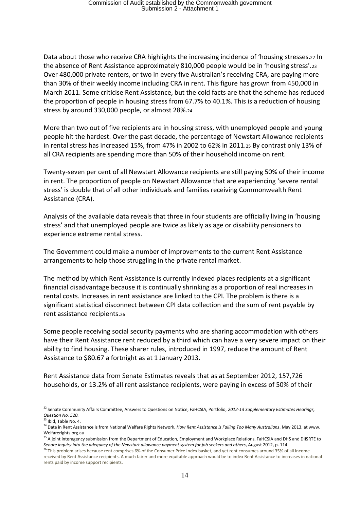Data about those who receive CRA highlights the increasing incidence of 'housing stresses.<sup>22</sup> In the absence of Rent Assistance approximately 810,000 people would be in 'housing stress'.<sup>23</sup> Over 480,000 private renters, or two in every five Australian's receiving CRA, are paying more than 30% of their weekly income including CRA in rent. This figure has grown from 450,000 in March 2011. Some criticise Rent Assistance, but the cold facts are that the scheme has reduced the proportion of people in housing stress from 67.7% to 40.1%. This is a reduction of housing stress by around 330,000 people, or almost 28%.<sup>24</sup>

More than two out of five recipients are in housing stress, with unemployed people and young people hit the hardest. Over the past decade, the percentage of Newstart Allowance recipients in rental stress has increased 15%, from 47% in 2002 to 62% in 2011.<sup>25</sup> By contrast only 13% of all CRA recipients are spending more than 50% of their household income on rent.

Twenty-seven per cent of all Newstart Allowance recipients are still paying 50% of their income in rent. The proportion of people on Newstart Allowance that are experiencing 'severe rental stress' is double that of all other individuals and families receiving Commonwealth Rent Assistance (CRA).

Analysis of the available data reveals that three in four students are officially living in 'housing stress' and that unemployed people are twice as likely as age or disability pensioners to experience extreme rental stress.

The Government could make a number of improvements to the current Rent Assistance arrangements to help those struggling in the private rental market.

The method by which Rent Assistance is currently indexed places recipients at a significant financial disadvantage because it is continually shrinking as a proportion of real increases in rental costs. Increases in rent assistance are linked to the CPI. The problem is there is a significant statistical disconnect between CPI data collection and the sum of rent payable by rent assistance recipients.<sup>26</sup>

Some people receiving social security payments who are sharing accommodation with others have their Rent Assistance rent reduced by a third which can have a very severe impact on their ability to find housing. These sharer rules, introduced in 1997, reduce the amount of Rent Assistance to \$80.67 a fortnight as at 1 January 2013.

Rent Assistance data from Senate Estimates reveals that as at September 2012, 157,726 households, or 13.2% of all rent assistance recipients, were paying in excess of 50% of their

 $\overline{a}$ <sup>22</sup> Senate Community Affairs Committee, Answers to Questions on Notice, FaHCSIA, Portfolio, 2012-13 Supplementary Estimates Hearings, *Question No. 520.*

 $23$  Ibid, Table No. 4.

<sup>24</sup> Data in Rent Assistance is from National Welfare Rights Network, *How Rent Assistance is Failing Too Many Australians*, May 2013, at www. Welfarerights.org.au

<sup>&</sup>lt;sup>25</sup> A joint interagency submission from the Department of Education, Employment and Workplace Relations, FaHCSIA and DHS and DIISRTE to *Senate inquiry into the adequacy of the Newstart allowance payment system for job seekers and others*, August 2012, p. 114

<sup>&</sup>lt;sup>26</sup> This problem arises because rent comprises 6% of the Consumer Price Index basket, and yet rent consumes around 35% of all income received by Rent Assistance recipients. A much fairer and more equitable approach would be to index Rent Assistance to increases in national rents paid by income support recipients.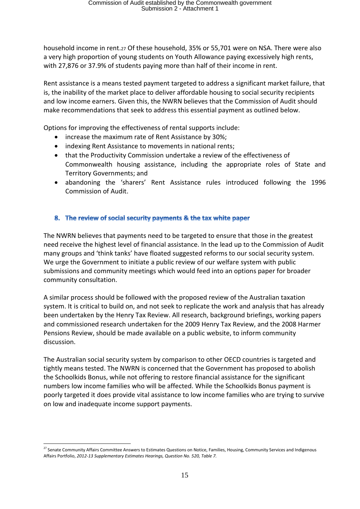household income in rent.<sup>27</sup> Of these household, 35% or 55,701 were on NSA. There were also a very high proportion of young students on Youth Allowance paying excessively high rents, with 27,876 or 37.9% of students paying more than half of their income in rent.

Rent assistance is a means tested payment targeted to address a significant market failure, that is, the inability of the market place to deliver affordable housing to social security recipients and low income earners. Given this, the NWRN believes that the Commission of Audit should make recommendations that seek to address this essential payment as outlined below.

Options for improving the effectiveness of rental supports include:

- increase the maximum rate of Rent Assistance by 30%;
- indexing Rent Assistance to movements in national rents;
- that the Productivity Commission undertake a review of the effectiveness of Commonwealth housing assistance, including the appropriate roles of State and Territory Governments; and
- abandoning the 'sharers' Rent Assistance rules introduced following the 1996 Commission of Audit.

# 8. The review of social security payments & the tax white paper

The NWRN believes that payments need to be targeted to ensure that those in the greatest need receive the highest level of financial assistance. In the lead up to the Commission of Audit many groups and 'think tanks' have floated suggested reforms to our social security system. We urge the Government to initiate a public review of our welfare system with public submissions and community meetings which would feed into an options paper for broader community consultation.

A similar process should be followed with the proposed review of the Australian taxation system. It is critical to build on, and not seek to replicate the work and analysis that has already been undertaken by the Henry Tax Review. All research, background briefings, working papers and commissioned research undertaken for the 2009 Henry Tax Review, and the 2008 Harmer Pensions Review, should be made available on a public website, to inform community discussion.

The Australian social security system by comparison to other OECD countries is targeted and tightly means tested. The NWRN is concerned that the Government has proposed to abolish the Schoolkids Bonus, while not offering to restore financial assistance for the significant numbers low income families who will be affected. While the Schoolkids Bonus payment is poorly targeted it does provide vital assistance to low income families who are trying to survive on low and inadequate income support payments.

 $\overline{a}$ <sup>27</sup> Senate Community Affairs Committee Answers to Estimates Questions on Notice, Families, Housing, Community Services and Indigenous Affairs Portfolio, *2012-13 Supplementary Estimates Hearings, Question No. 520, Table 7.*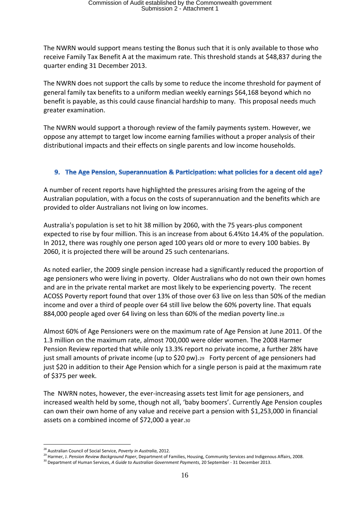The NWRN would support means testing the Bonus such that it is only available to those who receive Family Tax Benefit A at the maximum rate. This threshold stands at \$48,837 during the quarter ending 31 December 2013.

The NWRN does not support the calls by some to reduce the income threshold for payment of general family tax benefits to a uniform median weekly earnings \$64,168 beyond which no benefit is payable, as this could cause financial hardship to many. This proposal needs much greater examination.

The NWRN would support a thorough review of the family payments system. However, we oppose any attempt to target low income earning families without a proper analysis of their distributional impacts and their effects on single parents and low income households.

### 9. The Age Pension, Superannuation & Participation: what policies for a decent old age?

A number of recent reports have highlighted the pressures arising from the ageing of the Australian population, with a focus on the costs of superannuation and the benefits which are provided to older Australians not living on low incomes.

Australia's population is set to hit 38 million by 2060, with the 75 years-plus component expected to rise by four million. This is an increase from about 6.4%to 14.4% of the population. In 2012, there was roughly one person aged 100 years old or more to every 100 babies. By 2060, it is projected there will be around 25 such centenarians.

As noted earlier, the 2009 single pension increase had a significantly reduced the proportion of age pensioners who were living in poverty. Older Australians who do not own their own homes and are in the private rental market are most likely to be experiencing poverty. The recent ACOSS Poverty report found that over 13% of those over 63 live on less than 50% of the median income and over a third of people over 64 still live below the 60% poverty line. That equals 884,000 people aged over 64 living on less than 60% of the median poverty line.<sup>28</sup>

Almost 60% of Age Pensioners were on the maximum rate of Age Pension at June 2011. Of the 1.3 million on the maximum rate, almost 700,000 were older women. The 2008 Harmer Pension Review reported that while only 13.3% report no private income, a further 28% have just small amounts of private income (up to \$20 pw).29 Forty percent of age pensioners had just \$20 in addition to their Age Pension which for a single person is paid at the maximum rate of \$375 per week.

The NWRN notes, however, the ever-increasing assets test limit for age pensioners, and increased wealth held by some, though not all, 'baby boomers'. Currently Age Pension couples can own their own home of any value and receive part a pension with \$1,253,000 in financial assets on a combined income of \$72,000 a year.<sup>30</sup>

 $\overline{a}$ <sup>28</sup> Australian Council of Social Service, *Poverty in Australia*, 2012.

<sup>29</sup> Harmer, J. *Pension Review Background Paper*, Department of Families, Housing, Community Services and Indigenous Affairs, 2008.

<sup>30</sup> Department of Human Services, *A Guide to Australian Government Payments*, 20 September - 31 December 2013.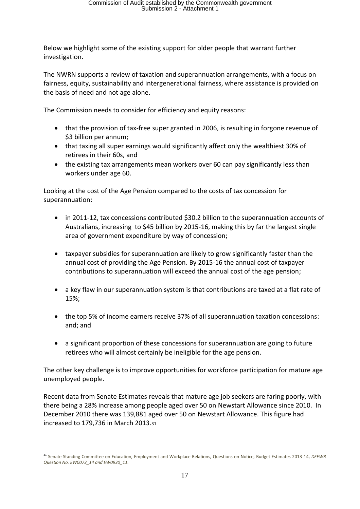Below we highlight some of the existing support for older people that warrant further investigation.

The NWRN supports a review of taxation and superannuation arrangements, with a focus on fairness, equity, sustainability and intergenerational fairness, where assistance is provided on the basis of need and not age alone.

The Commission needs to consider for efficiency and equity reasons:

- that the provision of tax-free super granted in 2006, is resulting in forgone revenue of \$3 billion per annum;
- that taxing all super earnings would significantly affect only the wealthiest 30% of retirees in their 60s, and
- the existing tax arrangements mean workers over 60 can pay significantly less than workers under age 60.

Looking at the cost of the Age Pension compared to the costs of tax concession for superannuation:

- in 2011-12, tax concessions contributed \$30.2 billion to the superannuation accounts of Australians, increasing to \$45 billion by 2015-16, making this by far the largest single area of government expenditure by way of concession;
- taxpayer subsidies for superannuation are likely to grow significantly faster than the annual cost of providing the Age Pension. By 2015-16 the annual cost of taxpayer contributions to superannuation will exceed the annual cost of the age pension;
- a key flaw in our superannuation system is that contributions are taxed at a flat rate of 15%;
- the top 5% of income earners receive 37% of all superannuation taxation concessions: and; and
- a significant proportion of these concessions for superannuation are going to future retirees who will almost certainly be ineligible for the age pension.

The other key challenge is to improve opportunities for workforce participation for mature age unemployed people.

Recent data from Senate Estimates reveals that mature age job seekers are faring poorly, with there being a 28% increase among people aged over 50 on Newstart Allowance since 2010. In December 2010 there was 139,881 aged over 50 on Newstart Allowance. This figure had increased to 179,736 in March 2013.<sup>31</sup>

<sup>31</sup> Senate Standing Committee on Education, Employment and Workplace Relations, Questions on Notice, Budget Estimates 2013-14, *DEEWR Question No. EW0073\_14 and EW0930\_11.*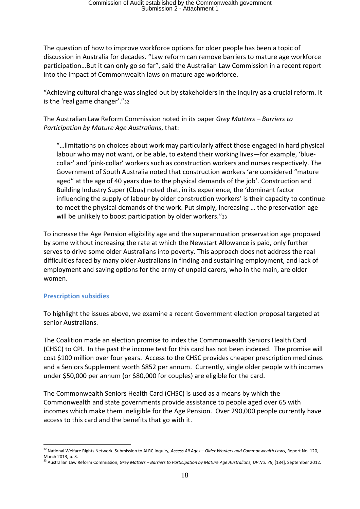The question of how to improve workforce options for older people has been a topic of discussion in Australia for decades. "Law reform can remove barriers to mature age workforce participation…But it can only go so far", said the Australian Law Commission in a recent report into the impact of Commonwealth laws on mature age workforce.

"Achieving cultural change was singled out by stakeholders in the inquiry as a crucial reform. It is the 'real game changer'."<sup>32</sup>

The Australian Law Reform Commission noted in its paper *Grey Matters – Barriers to Participation by Mature Age Australians*, that:

"…limitations on choices about work may particularly affect those engaged in hard physical labour who may not want, or be able, to extend their working lives—for example, 'bluecollar' and 'pink-collar' workers such as construction workers and nurses respectively. The Government of South Australia noted that construction workers 'are considered "mature aged" at the age of 40 years due to the physical demands of the job'. Construction and Building Industry Super (Cbus) noted that, in its experience, the 'dominant factor influencing the supply of labour by older construction workers' is their capacity to continue to meet the physical demands of the work. Put simply, increasing … the preservation age will be unlikely to boost participation by older workers."33

To increase the Age Pension eligibility age and the superannuation preservation age proposed by some without increasing the rate at which the Newstart Allowance is paid, only further serves to drive some older Australians into poverty. This approach does not address the real difficulties faced by many older Australians in finding and sustaining employment, and lack of employment and saving options for the army of unpaid carers, who in the main, are older women.

#### **Prescription subsidies**

 $\overline{a}$ 

To highlight the issues above, we examine a recent Government election proposal targeted at senior Australians.

The Coalition made an election promise to index the Commonwealth Seniors Health Card (CHSC) to CPI. In the past the income test for this card has not been indexed. The promise will cost \$100 million over four years. Access to the CHSC provides cheaper prescription medicines and a Seniors Supplement worth \$852 per annum. Currently, single older people with incomes under \$50,000 per annum (or \$80,000 for couples) are eligible for the card.

The Commonwealth Seniors Health Card (CHSC) is used as a means by which the Commonwealth and state governments provide assistance to people aged over 65 with incomes which make them ineligible for the Age Pension. Over 290,000 people currently have access to this card and the benefits that go with it.

<sup>32</sup> National Welfare Rights Network, Submission to ALRC Inquiry, *Access All Ages – Older Workers and Commonwealth Laws*, Report No. 120, March 2013, p. 3.

<sup>33</sup> Australian Law Reform Commission, *Grey Matters – Barriers to Participation by Mature Age Australians, DP No. 78*, [184], September 2012.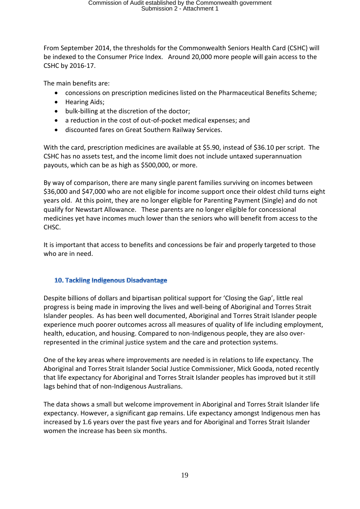From September 2014, the thresholds for the Commonwealth Seniors Health Card (CSHC) will be indexed to the Consumer Price Index. Around 20,000 more people will gain access to the CSHC by 2016-17.

The main benefits are:

- concessions on prescription medicines listed on the Pharmaceutical Benefits Scheme;
- Hearing Aids;
- bulk-billing at the discretion of the doctor;
- a reduction in the cost of out-of-pocket medical expenses; and
- discounted fares on Great Southern Railway Services.

With the card, prescription medicines are available at \$5.90, instead of \$36.10 per script. The CSHC has no assets test, and the income limit does not include untaxed superannuation payouts, which can be as high as \$500,000, or more.

By way of comparison, there are many single parent families surviving on incomes between \$36,000 and \$47,000 who are not eligible for income support once their oldest child turns eight years old. At this point, they are no longer eligible for Parenting Payment (Single) and do not qualify for Newstart Allowance. These parents are no longer eligible for concessional medicines yet have incomes much lower than the seniors who will benefit from access to the CHSC.

It is important that access to benefits and concessions be fair and properly targeted to those who are in need.

#### 10. Tackling Indigenous Disadvantage

Despite billions of dollars and bipartisan political support for 'Closing the Gap', little real progress is being made in improving the lives and well-being of Aboriginal and Torres Strait Islander peoples. As has been well documented, Aboriginal and Torres Strait Islander people experience much poorer outcomes across all measures of quality of life including employment, health, education, and housing. Compared to non-Indigenous people, they are also overrepresented in the criminal justice system and the care and protection systems.

One of the key areas where improvements are needed is in relations to life expectancy. The Aboriginal and Torres Strait Islander Social Justice Commissioner, Mick Gooda, noted recently that life expectancy for Aboriginal and Torres Strait Islander peoples has improved but it still lags behind that of non-Indigenous Australians.

The data shows a small but welcome improvement in Aboriginal and Torres Strait Islander life expectancy. However, a significant gap remains. Life expectancy amongst Indigenous men has increased by 1.6 years over the past five years and for Aboriginal and Torres Strait Islander women the increase has been six months.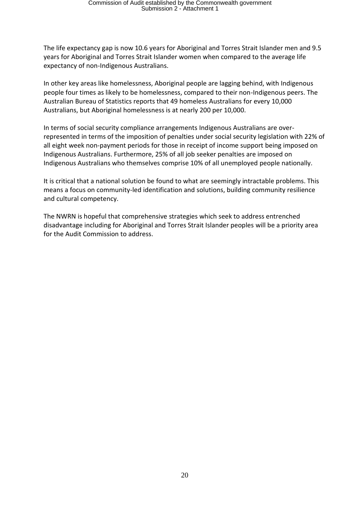The life expectancy gap is now 10.6 years for Aboriginal and Torres Strait Islander men and 9.5 years for Aboriginal and Torres Strait Islander women when compared to the average life expectancy of non-Indigenous Australians.

In other key areas like homelessness, Aboriginal people are lagging behind, with Indigenous people four times as likely to be homelessness, compared to their non-Indigenous peers. The Australian Bureau of Statistics reports that 49 homeless Australians for every 10,000 Australians, but Aboriginal homelessness is at nearly 200 per 10,000.

In terms of social security compliance arrangements Indigenous Australians are overrepresented in terms of the imposition of penalties under social security legislation with 22% of all eight week non-payment periods for those in receipt of income support being imposed on Indigenous Australians. Furthermore, 25% of all job seeker penalties are imposed on Indigenous Australians who themselves comprise 10% of all unemployed people nationally.

It is critical that a national solution be found to what are seemingly intractable problems. This means a focus on community-led identification and solutions, building community resilience and cultural competency.

The NWRN is hopeful that comprehensive strategies which seek to address entrenched disadvantage including for Aboriginal and Torres Strait Islander peoples will be a priority area for the Audit Commission to address.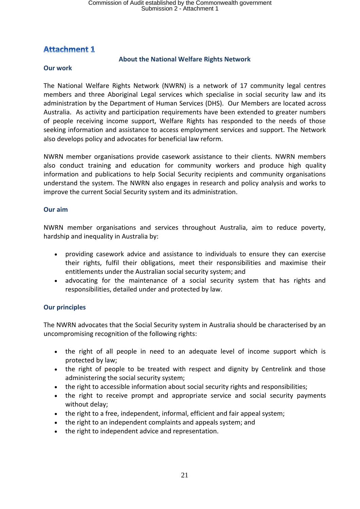# **Attachment 1**

#### **About the National Welfare Rights Network**

#### **Our work**

The National Welfare Rights Network (NWRN) is a network of 17 community legal centres members and three Aboriginal Legal services which specialise in social security law and its administration by the Department of Human Services (DHS). Our Members are located across Australia. As activity and participation requirements have been extended to greater numbers of people receiving income support, Welfare Rights has responded to the needs of those seeking information and assistance to access employment services and support. The Network also develops policy and advocates for beneficial law reform.

NWRN member organisations provide casework assistance to their clients. NWRN members also conduct training and education for community workers and produce high quality information and publications to help Social Security recipients and community organisations understand the system. The NWRN also engages in research and policy analysis and works to improve the current Social Security system and its administration.

#### **Our aim**

NWRN member organisations and services throughout Australia, aim to reduce poverty, hardship and inequality in Australia by:

- providing casework advice and assistance to individuals to ensure they can exercise their rights, fulfil their obligations, meet their responsibilities and maximise their entitlements under the Australian social security system; and
- advocating for the maintenance of a social security system that has rights and responsibilities, detailed under and protected by law.

# **Our principles**

The NWRN advocates that the Social Security system in Australia should be characterised by an uncompromising recognition of the following rights:

- the right of all people in need to an adequate level of income support which is protected by law;
- the right of people to be treated with respect and dignity by Centrelink and those administering the social security system;
- the right to accessible information about social security rights and responsibilities;
- the right to receive prompt and appropriate service and social security payments without delay;
- the right to a free, independent, informal, efficient and fair appeal system;
- the right to an independent complaints and appeals system; and
- the right to independent advice and representation.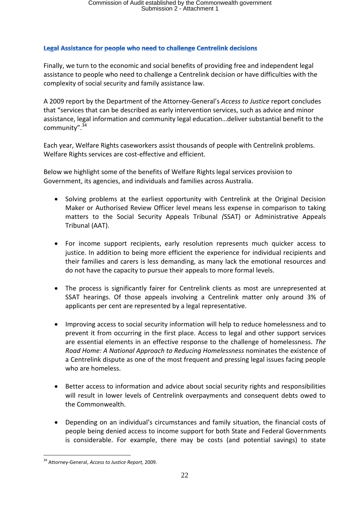#### Legal Assistance for people who need to challenge Centrelink decisions

Finally, we turn to the economic and social benefits of providing free and independent legal assistance to people who need to challenge a Centrelink decision or have difficulties with the complexity of social security and family assistance law.

A 2009 report by the Department of the Attorney-General's *Access to Justice* report concludes that "services that can be described as early intervention services, such as advice and minor assistance, legal information and community legal education…deliver substantial benefit to the community".<sup>34</sup>

Each year, Welfare Rights caseworkers assist thousands of people with Centrelink problems. Welfare Rights services are cost-effective and efficient.

Below we highlight some of the benefits of Welfare Rights legal services provision to Government, its agencies, and individuals and families across Australia.

- Solving problems at the earliest opportunity with Centrelink at the Original Decision Maker or Authorised Review Officer level means less expense in comparison to taking matters to the Social Security Appeals Tribunal *(*SSAT) or Administrative Appeals Tribunal (AAT).
- For income support recipients, early resolution represents much quicker access to justice. In addition to being more efficient the experience for individual recipients and their families and carers is less demanding, as many lack the emotional resources and do not have the capacity to pursue their appeals to more formal levels.
- The process is significantly fairer for Centrelink clients as most are unrepresented at SSAT hearings. Of those appeals involving a Centrelink matter only around 3% of applicants per cent are represented by a legal representative.
- Improving access to social security information will help to reduce homelessness and to prevent it from occurring in the first place. Access to legal and other support services are essential elements in an effective response to the challenge of homelessness. *The Road Home: A National Approach to Reducing Homelessness* nominates the existence of a Centrelink dispute as one of the most frequent and pressing legal issues facing people who are homeless.
- Better access to information and advice about social security rights and responsibilities will result in lower levels of Centrelink overpayments and consequent debts owed to the Commonwealth.
- Depending on an individual's circumstances and family situation, the financial costs of people being denied access to income support for both State and Federal Governments is considerable. For example, there may be costs (and potential savings) to state

<sup>34</sup> Attorney-General, *Access to Justice Report,* 2009.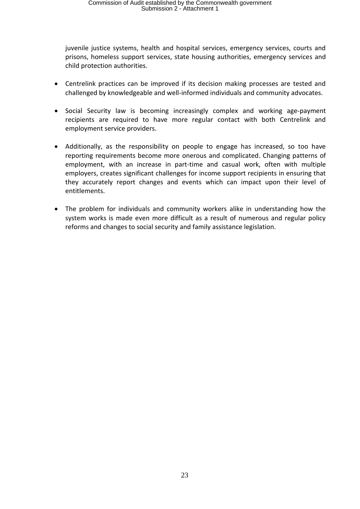juvenile justice systems, health and hospital services, emergency services, courts and prisons, homeless support services, state housing authorities, emergency services and child protection authorities.

- Centrelink practices can be improved if its decision making processes are tested and challenged by knowledgeable and well-informed individuals and community advocates.
- Social Security law is becoming increasingly complex and working age-payment recipients are required to have more regular contact with both Centrelink and employment service providers.
- Additionally, as the responsibility on people to engage has increased, so too have reporting requirements become more onerous and complicated. Changing patterns of employment, with an increase in part-time and casual work, often with multiple employers, creates significant challenges for income support recipients in ensuring that they accurately report changes and events which can impact upon their level of entitlements.
- The problem for individuals and community workers alike in understanding how the system works is made even more difficult as a result of numerous and regular policy reforms and changes to social security and family assistance legislation.